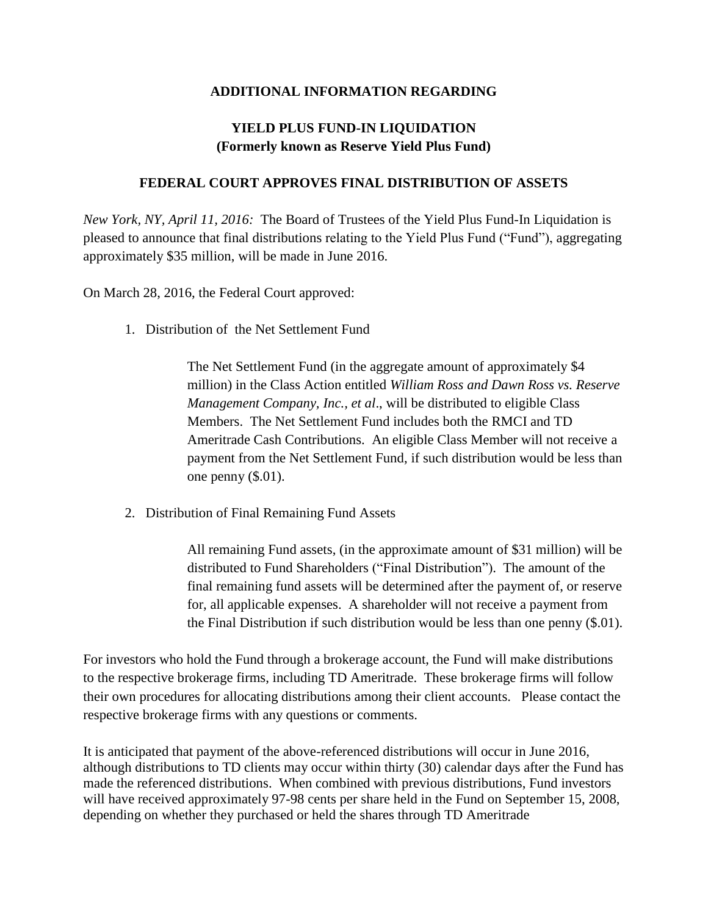## **ADDITIONAL INFORMATION REGARDING**

## **YIELD PLUS FUND-IN LIQUIDATION (Formerly known as Reserve Yield Plus Fund)**

## **FEDERAL COURT APPROVES FINAL DISTRIBUTION OF ASSETS**

*New York, NY, April 11, 2016:* The Board of Trustees of the Yield Plus Fund-In Liquidation is pleased to announce that final distributions relating to the Yield Plus Fund ("Fund"), aggregating approximately \$35 million, will be made in June 2016.

On March 28, 2016, the Federal Court approved:

1. Distribution of the Net Settlement Fund

The Net Settlement Fund (in the aggregate amount of approximately \$4 million) in the Class Action entitled *William Ross and Dawn Ross vs. Reserve Management Company, Inc., et al*., will be distributed to eligible Class Members. The Net Settlement Fund includes both the RMCI and TD Ameritrade Cash Contributions. An eligible Class Member will not receive a payment from the Net Settlement Fund, if such distribution would be less than one penny (\$.01).

2. Distribution of Final Remaining Fund Assets

All remaining Fund assets, (in the approximate amount of \$31 million) will be distributed to Fund Shareholders ("Final Distribution"). The amount of the final remaining fund assets will be determined after the payment of, or reserve for, all applicable expenses. A shareholder will not receive a payment from the Final Distribution if such distribution would be less than one penny (\$.01).

For investors who hold the Fund through a brokerage account, the Fund will make distributions to the respective brokerage firms, including TD Ameritrade. These brokerage firms will follow their own procedures for allocating distributions among their client accounts. Please contact the respective brokerage firms with any questions or comments.

It is anticipated that payment of the above-referenced distributions will occur in June 2016, although distributions to TD clients may occur within thirty (30) calendar days after the Fund has made the referenced distributions. When combined with previous distributions, Fund investors will have received approximately 97-98 cents per share held in the Fund on September 15, 2008, depending on whether they purchased or held the shares through TD Ameritrade